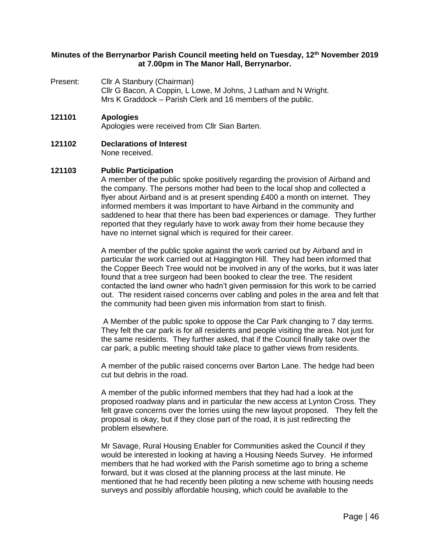# **Minutes of the Berrynarbor Parish Council meeting held on Tuesday, 12th November 2019 at 7.00pm in The Manor Hall, Berrynarbor.**

Present: Cllr A Stanbury (Chairman) Cllr G Bacon, A Coppin, L Lowe, M Johns, J Latham and N Wright. Mrs K Graddock – Parish Clerk and 16 members of the public.

### **121101 Apologies**

Apologies were received from Cllr Sian Barten.

#### **121102 Declarations of Interest** None received.

#### **121103 Public Participation**

A member of the public spoke positively regarding the provision of Airband and the company. The persons mother had been to the local shop and collected a flyer about Airband and is at present spending £400 a month on internet. They informed members it was Important to have Airband in the community and saddened to hear that there has been bad experiences or damage. They further reported that they regularly have to work away from their home because they have no internet signal which is required for their career.

A member of the public spoke against the work carried out by Airband and in particular the work carried out at Haggington Hill. They had been informed that the Copper Beech Tree would not be involved in any of the works, but it was later found that a tree surgeon had been booked to clear the tree. The resident contacted the land owner who hadn't given permission for this work to be carried out. The resident raised concerns over cabling and poles in the area and felt that the community had been given mis information from start to finish.

A Member of the public spoke to oppose the Car Park changing to 7 day terms. They felt the car park is for all residents and people visiting the area. Not just for the same residents. They further asked, that if the Council finally take over the car park, a public meeting should take place to gather views from residents.

A member of the public raised concerns over Barton Lane. The hedge had been cut but debris in the road.

A member of the public informed members that they had had a look at the proposed roadway plans and in particular the new access at Lynton Cross. They felt grave concerns over the lorries using the new layout proposed. They felt the proposal is okay, but if they close part of the road, it is just redirecting the problem elsewhere.

Mr Savage, Rural Housing Enabler for Communities asked the Council if they would be interested in looking at having a Housing Needs Survey. He informed members that he had worked with the Parish sometime ago to bring a scheme forward, but it was closed at the planning process at the last minute. He mentioned that he had recently been piloting a new scheme with housing needs surveys and possibly affordable housing, which could be available to the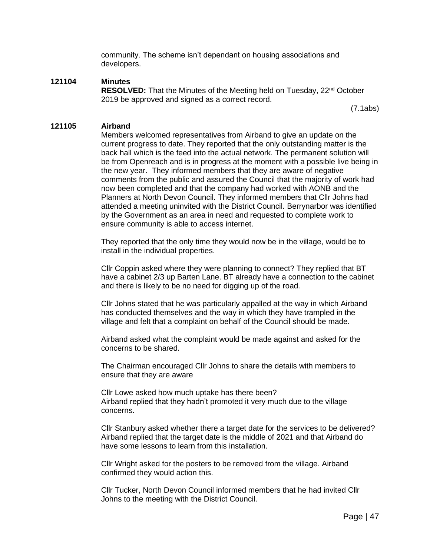community. The scheme isn't dependant on housing associations and developers.

# **121104 Minutes**

**RESOLVED:** That the Minutes of the Meeting held on Tuesday, 22<sup>nd</sup> October 2019 be approved and signed as a correct record.

(7.1abs)

### **121105 Airband**

Members welcomed representatives from Airband to give an update on the current progress to date. They reported that the only outstanding matter is the back hall which is the feed into the actual network. The permanent solution will be from Openreach and is in progress at the moment with a possible live being in the new year. They informed members that they are aware of negative comments from the public and assured the Council that the majority of work had now been completed and that the company had worked with AONB and the Planners at North Devon Council. They informed members that Cllr Johns had attended a meeting uninvited with the District Council. Berrynarbor was identified by the Government as an area in need and requested to complete work to ensure community is able to access internet.

They reported that the only time they would now be in the village, would be to install in the individual properties.

Cllr Coppin asked where they were planning to connect? They replied that BT have a cabinet 2/3 up Barten Lane. BT already have a connection to the cabinet and there is likely to be no need for digging up of the road.

Cllr Johns stated that he was particularly appalled at the way in which Airband has conducted themselves and the way in which they have trampled in the village and felt that a complaint on behalf of the Council should be made.

Airband asked what the complaint would be made against and asked for the concerns to be shared.

The Chairman encouraged Cllr Johns to share the details with members to ensure that they are aware

Cllr Lowe asked how much uptake has there been? Airband replied that they hadn't promoted it very much due to the village concerns.

Cllr Stanbury asked whether there a target date for the services to be delivered? Airband replied that the target date is the middle of 2021 and that Airband do have some lessons to learn from this installation.

Cllr Wright asked for the posters to be removed from the village. Airband confirmed they would action this.

Cllr Tucker, North Devon Council informed members that he had invited Cllr Johns to the meeting with the District Council.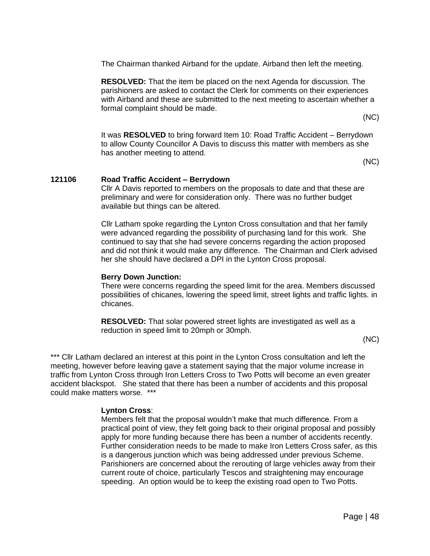The Chairman thanked Airband for the update. Airband then left the meeting.

**RESOLVED:** That the item be placed on the next Agenda for discussion. The parishioners are asked to contact the Clerk for comments on their experiences with Airband and these are submitted to the next meeting to ascertain whether a formal complaint should be made.

(NC)

It was **RESOLVED** to bring forward Item 10: Road Traffic Accident – Berrydown to allow County Councillor A Davis to discuss this matter with members as she has another meeting to attend.

(NC)

# **121106 Road Traffic Accident – Berrydown**

Cllr A Davis reported to members on the proposals to date and that these are preliminary and were for consideration only. There was no further budget available but things can be altered.

Cllr Latham spoke regarding the Lynton Cross consultation and that her family were advanced regarding the possibility of purchasing land for this work. She continued to say that she had severe concerns regarding the action proposed and did not think it would make any difference. The Chairman and Clerk advised her she should have declared a DPI in the Lynton Cross proposal.

### **Berry Down Junction:**

There were concerns regarding the speed limit for the area. Members discussed possibilities of chicanes, lowering the speed limit, street lights and traffic lights. in chicanes.

**RESOLVED:** That solar powered street lights are investigated as well as a reduction in speed limit to 20mph or 30mph.

(NC)

\*\*\* Cllr Latham declared an interest at this point in the Lynton Cross consultation and left the meeting, however before leaving gave a statement saying that the major volume increase in traffic from Lynton Cross through Iron Letters Cross to Two Potts will become an even greater accident blackspot. She stated that there has been a number of accidents and this proposal could make matters worse. \*\*\*

# **Lynton Cross**:

Members felt that the proposal wouldn't make that much difference. From a practical point of view, they felt going back to their original proposal and possibly apply for more funding because there has been a number of accidents recently. Further consideration needs to be made to make Iron Letters Cross safer, as this is a dangerous junction which was being addressed under previous Scheme. Parishioners are concerned about the rerouting of large vehicles away from their current route of choice, particularly Tescos and straightening may encourage speeding. An option would be to keep the existing road open to Two Potts.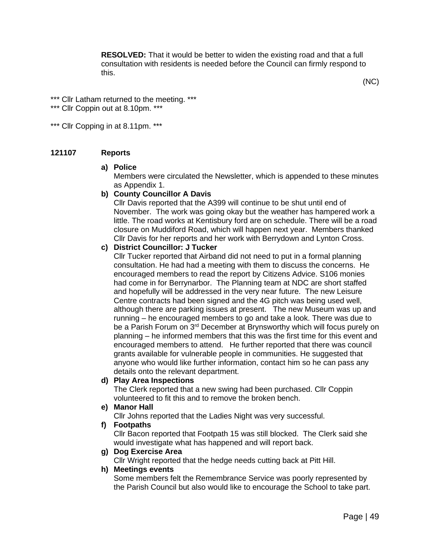**RESOLVED:** That it would be better to widen the existing road and that a full consultation with residents is needed before the Council can firmly respond to this.

(NC)

\*\*\* Cllr Latham returned to the meeting. \*\*\*

\*\*\* Cllr Coppin out at 8.10pm. \*\*\*

\*\*\* Cllr Copping in at 8.11pm. \*\*\*

# **121107 Reports**

#### **a) Police**

Members were circulated the Newsletter, which is appended to these minutes as Appendix 1.

# **b) County Councillor A Davis**

Cllr Davis reported that the A399 will continue to be shut until end of November. The work was going okay but the weather has hampered work a little. The road works at Kentisbury ford are on schedule. There will be a road closure on Muddiford Road, which will happen next year. Members thanked Cllr Davis for her reports and her work with Berrydown and Lynton Cross.

# **c) District Councillor: J Tucker**

Cllr Tucker reported that Airband did not need to put in a formal planning consultation. He had had a meeting with them to discuss the concerns. He encouraged members to read the report by Citizens Advice. S106 monies had come in for Berrynarbor. The Planning team at NDC are short staffed and hopefully will be addressed in the very near future. The new Leisure Centre contracts had been signed and the 4G pitch was being used well, although there are parking issues at present. The new Museum was up and running – he encouraged members to go and take a look. There was due to be a Parish Forum on 3<sup>rd</sup> December at Brynsworthy which will focus purely on planning – he informed members that this was the first time for this event and encouraged members to attend. He further reported that there was council grants available for vulnerable people in communities. He suggested that anyone who would like further information, contact him so he can pass any details onto the relevant department.

# **d) Play Area Inspections**

The Clerk reported that a new swing had been purchased. Cllr Coppin volunteered to fit this and to remove the broken bench.

#### **e) Manor Hall**

Cllr Johns reported that the Ladies Night was very successful.

### **f) Footpaths**

Cllr Bacon reported that Footpath 15 was still blocked. The Clerk said she would investigate what has happened and will report back.

# **g) Dog Exercise Area**

Cllr Wright reported that the hedge needs cutting back at Pitt Hill.

#### **h) Meetings events**

Some members felt the Remembrance Service was poorly represented by the Parish Council but also would like to encourage the School to take part.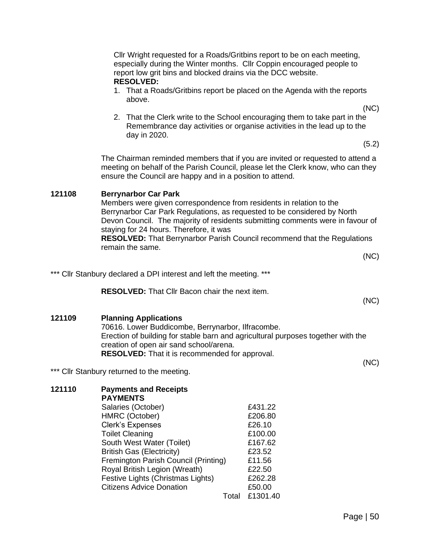| Cllr Wright requested for a Roads/Gritbins report to be on each meeting,<br>especially during the Winter months. Cllr Coppin encouraged people to<br>report low grit bins and blocked drains via the DCC website.<br><b>RESOLVED:</b> |                                                                                                                                                                                                                                                                                                                                                                                                                    |                                                                                                                                                               |
|---------------------------------------------------------------------------------------------------------------------------------------------------------------------------------------------------------------------------------------|--------------------------------------------------------------------------------------------------------------------------------------------------------------------------------------------------------------------------------------------------------------------------------------------------------------------------------------------------------------------------------------------------------------------|---------------------------------------------------------------------------------------------------------------------------------------------------------------|
|                                                                                                                                                                                                                                       | above.                                                                                                                                                                                                                                                                                                                                                                                                             | 1. That a Roads/Gritbins report be placed on the Agenda with the reports                                                                                      |
|                                                                                                                                                                                                                                       | day in 2020.                                                                                                                                                                                                                                                                                                                                                                                                       | (NC)<br>2. That the Clerk write to the School encouraging them to take part in the<br>Remembrance day activities or organise activities in the lead up to the |
|                                                                                                                                                                                                                                       |                                                                                                                                                                                                                                                                                                                                                                                                                    | (5.2)                                                                                                                                                         |
|                                                                                                                                                                                                                                       | The Chairman reminded members that if you are invited or requested to attend a<br>meeting on behalf of the Parish Council, please let the Clerk know, who can they<br>ensure the Council are happy and in a position to attend.                                                                                                                                                                                    |                                                                                                                                                               |
| 121108                                                                                                                                                                                                                                | <b>Berrynarbor Car Park</b><br>Members were given correspondence from residents in relation to the<br>Berrynarbor Car Park Regulations, as requested to be considered by North<br>Devon Council. The majority of residents submitting comments were in favour of<br>staying for 24 hours. Therefore, it was<br><b>RESOLVED:</b> That Berrynarbor Parish Council recommend that the Regulations<br>remain the same. |                                                                                                                                                               |
|                                                                                                                                                                                                                                       |                                                                                                                                                                                                                                                                                                                                                                                                                    | (NC)                                                                                                                                                          |
|                                                                                                                                                                                                                                       | *** Cllr Stanbury declared a DPI interest and left the meeting. ***                                                                                                                                                                                                                                                                                                                                                |                                                                                                                                                               |
|                                                                                                                                                                                                                                       | <b>RESOLVED:</b> That Cllr Bacon chair the next item.                                                                                                                                                                                                                                                                                                                                                              | (NC)                                                                                                                                                          |
| 121109                                                                                                                                                                                                                                | <b>Planning Applications</b><br>70616. Lower Buddicombe, Berrynarbor, Ilfracombe.<br>Erection of building for stable barn and agricultural purposes together with the<br>creation of open air sand school/arena.<br><b>RESOLVED:</b> That it is recommended for approval.                                                                                                                                          |                                                                                                                                                               |
|                                                                                                                                                                                                                                       | *** Cllr Stanbury returned to the meeting.                                                                                                                                                                                                                                                                                                                                                                         | (NC)                                                                                                                                                          |
| 121110                                                                                                                                                                                                                                | <b>Payments and Receipts</b><br><b>PAYMENTS</b><br>Salaries (October)                                                                                                                                                                                                                                                                                                                                              | £431.22                                                                                                                                                       |
|                                                                                                                                                                                                                                       | HMRC (October)<br><b>Clerk's Expenses</b><br><b>Toilet Cleaning</b><br>South West Water (Toilet)<br><b>British Gas (Electricity)</b><br>Fremington Parish Council (Printing)<br>Royal British Legion (Wreath)<br>Festive Lights (Christmas Lights)<br><b>Citizens Advice Donation</b>                                                                                                                              | £206.80<br>£26.10<br>£100.00<br>£167.62<br>£23.52<br>£11.56<br>£22.50<br>£262.28<br>£50.00                                                                    |

Total £1301.40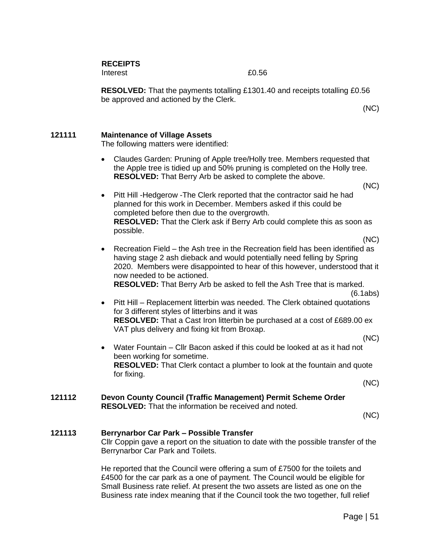**RECEIPTS** 

Interest 20.56

**RESOLVED:** That the payments totalling £1301.40 and receipts totalling £0.56 be approved and actioned by the Clerk.

(NC)

# **121111 Maintenance of Village Assets**

The following matters were identified:

• Claudes Garden: Pruning of Apple tree/Holly tree. Members requested that the Apple tree is tidied up and 50% pruning is completed on the Holly tree. **RESOLVED:** That Berry Arb be asked to complete the above.

(NC)

• Pitt Hill -Hedgerow -The Clerk reported that the contractor said he had planned for this work in December. Members asked if this could be completed before then due to the overgrowth. **RESOLVED:** That the Clerk ask if Berry Arb could complete this as soon as possible.

(NC)

• Recreation Field – the Ash tree in the Recreation field has been identified as having stage 2 ash dieback and would potentially need felling by Spring 2020. Members were disappointed to hear of this however, understood that it now needed to be actioned. **RESOLVED:** That Berry Arb be asked to fell the Ash Tree that is marked.

(6.1abs)

- Pitt Hill Replacement litterbin was needed. The Clerk obtained quotations for 3 different styles of litterbins and it was **RESOLVED:** That a Cast Iron litterbin be purchased at a cost of £689.00 ex VAT plus delivery and fixing kit from Broxap.
	- (NC)
- Water Fountain Cllr Bacon asked if this could be looked at as it had not been working for sometime. **RESOLVED:** That Clerk contact a plumber to look at the fountain and quote for fixing.

(NC)

# **121112 Devon County Council (Traffic Management) Permit Scheme Order RESOLVED:** That the information be received and noted.

(NC)

# **121113 Berrynarbor Car Park – Possible Transfer**

Cllr Coppin gave a report on the situation to date with the possible transfer of the Berrynarbor Car Park and Toilets.

He reported that the Council were offering a sum of £7500 for the toilets and £4500 for the car park as a one of payment. The Council would be eligible for Small Business rate relief. At present the two assets are listed as one on the Business rate index meaning that if the Council took the two together, full relief